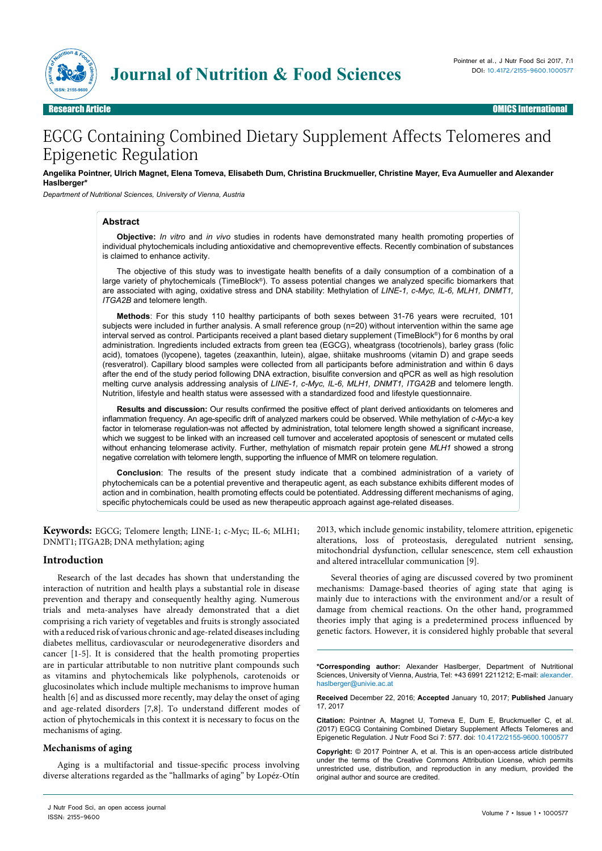

# EGCG Containing Combined Dietary Supplement Affects Telomeres and Epigenetic Regulation

**Angelika Pointner, Ulrich Magnet, Elena Tomeva, Elisabeth Dum, Christina Bruckmueller, Christine Mayer, Eva Aumueller and Alexander Haslberger\***

*Department of Nutritional Sciences, University of Vienna, Austria*

#### **Abstract**

**Objective:** *In vitro* and *in vivo* studies in rodents have demonstrated many health promoting properties of individual phytochemicals including antioxidative and chemopreventive effects. Recently combination of substances is claimed to enhance activity.

The objective of this study was to investigate health benefits of a daily consumption of a combination of a large variety of phytochemicals (TimeBlock®). To assess potential changes we analyzed specific biomarkers that are associated with aging, oxidative stress and DNA stability: Methylation of *LINE-1, c-Myc, IL-6, MLH1, DNMT1, ITGA2B* and telomere length.

**Methods**: For this study 110 healthy participants of both sexes between 31-76 years were recruited, 101 subjects were included in further analysis. A small reference group (n=20) without intervention within the same age interval served as control. Participants received a plant based dietary supplement (TimeBlock®) for 6 months by oral administration. Ingredients included extracts from green tea (EGCG), wheatgrass (tocotrienols), barley grass (folic acid), tomatoes (lycopene), tagetes (zeaxanthin, lutein), algae, shiitake mushrooms (vitamin D) and grape seeds (resveratrol). Capillary blood samples were collected from all participants before administration and within 6 days after the end of the study period following DNA extraction, bisulfite conversion and qPCR as well as high resolution melting curve analysis addressing analysis of *LINE-1, c-Myc, IL-6, MLH1, DNMT1, ITGA2B* and telomere length. Nutrition, lifestyle and health status were assessed with a standardized food and lifestyle questionnaire.

**Results and discussion:** Our results confirmed the positive effect of plant derived antioxidants on telomeres and inflammation frequency. An age-specific drift of analyzed markers could be observed. While methylation of *c-Myc*-a key factor in telomerase regulation-was not affected by administration, total telomere length showed a significant increase, which we suggest to be linked with an increased cell turnover and accelerated apoptosis of senescent or mutated cells without enhancing telomerase activity. Further, methylation of mismatch repair protein gene *MLH1* showed a strong negative correlation with telomere length, supporting the influence of MMR on telomere regulation.

**Conclusion**: The results of the present study indicate that a combined administration of a variety of phytochemicals can be a potential preventive and therapeutic agent, as each substance exhibits different modes of action and in combination, health promoting effects could be potentiated. Addressing different mechanisms of aging, specific phytochemicals could be used as new therapeutic approach against age-related diseases.

**Keywords:** EGCG; Telomere length; LINE-1; c-Myc; IL-6; MLH1; DNMT1; ITGA2B; DNA methylation; aging

#### **Introduction**

Research of the last decades has shown that understanding the interaction of nutrition and health plays a substantial role in disease prevention and therapy and consequently healthy aging. Numerous trials and meta-analyses have already demonstrated that a diet comprising a rich variety of vegetables and fruits is strongly associated with a reduced risk of various chronic and age-related diseases including diabetes mellitus, cardiovascular or neurodegenerative disorders and cancer [1-5]. It is considered that the health promoting properties are in particular attributable to non nutritive plant compounds such as vitamins and phytochemicals like polyphenols, carotenoids or glucosinolates which include multiple mechanisms to improve human health [6] and as discussed more recently, may delay the onset of aging and age-related disorders [7,8]. To understand different modes of action of phytochemicals in this context it is necessary to focus on the mechanisms of aging.

#### **Mechanisms of aging**

Aging is a multifactorial and tissue-specific process involving diverse alterations regarded as the "hallmarks of aging" by Lopéz-Otín

2013, which include genomic instability, telomere attrition, epigenetic alterations, loss of proteostasis, deregulated nutrient sensing, mitochondrial dysfunction, cellular senescence, stem cell exhaustion and altered intracellular communication [9].

Several theories of aging are discussed covered by two prominent mechanisms: Damage-based theories of aging state that aging is mainly due to interactions with the environment and/or a result of damage from chemical reactions. On the other hand,  [programmed](http://senescence.info/programmed_aging.html)  [theories](http://senescence.info/programmed_aging.html) imply that aging is a predetermined process influenced by genetic factors. However, it is considered highly probable that several

**\*Corresponding author:** Alexander Haslberger, Department of Nutritional Sciences, University of Vienna, Austria, Tel: +43 6991 2211212; E-mail: alexander. haslberger@univie.ac.at

**Received** December 22, 2016; **Accepted** January 10, 2017; **Published** January 17, 2017

**Citation:** Pointner A, Magnet U, Tomeva E, Dum E, Bruckmueller C, et al. (2017) EGCG Containing Combined Dietary Supplement Affects Telomeres and Epigenetic Regulation. J Nutr Food Sci 7: 577. doi: 10.4172/2155-9600.1000577

**Copyright:** © 2017 Pointner A, et al. This is an open-access article distributed under the terms of the Creative Commons Attribution License, which permits unrestricted use, distribution, and reproduction in any medium, provided the original author and source are credited.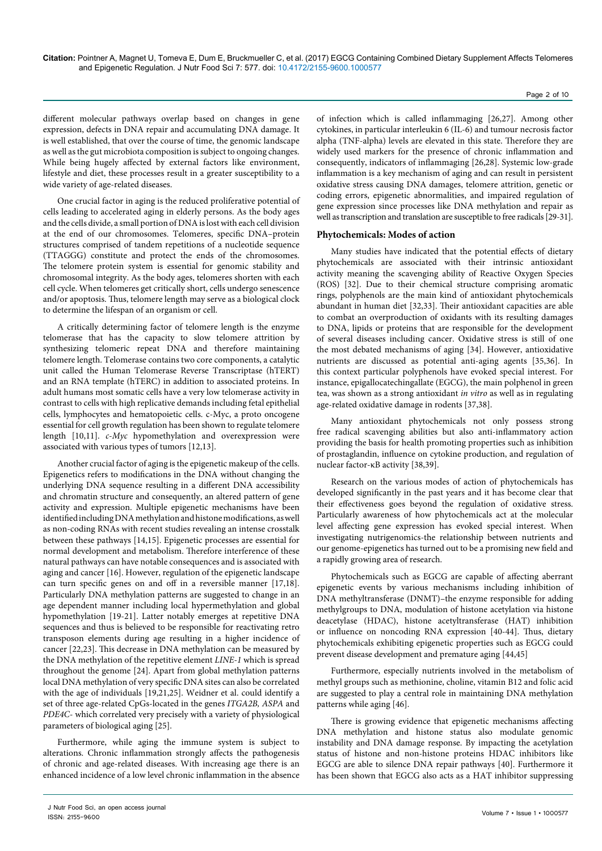different molecular pathways overlap based on changes in gene expression, defects in DNA repair and accumulating DNA damage. It is well established, that over the course of time, the genomic landscape as well as the gut microbiota composition is subject to ongoing changes. While being hugely affected by external factors like environment, lifestyle and diet, these processes result in a greater susceptibility to a wide variety of age-related diseases.

One crucial factor in aging is the reduced proliferative potential of cells leading to accelerated aging in elderly persons. As the body ages and the cells divide, a small portion of DNA is lost with each cell division at the end of our chromosomes. Telomeres, specific DNA–protein structures comprised of tandem repetitions of a nucleotide sequence (TTAGGG) constitute and protect the ends of the chromosomes. The telomere protein system is essential for genomic stability and chromosomal integrity. As the body ages, telomeres shorten with each cell cycle. When telomeres get critically short, cells undergo senescence and/or apoptosis. Thus, telomere length may serve as a biological clock to determine the lifespan of an organism or cell.

A critically determining factor of telomere length is the enzyme telomerase that has the capacity to slow telomere attrition by synthesizing telomeric repeat DNA and therefore maintaining telomere length. Telomerase contains two core components, a catalytic unit called the Human Telomerase Reverse Transcriptase (hTERT) and an RNA template (hTERC) in addition to associated proteins. In adult humans most somatic cells have a very low telomerase activity in contrast to cells with high replicative demands including fetal epithelial cells, lymphocytes and hematopoietic cells. c-Myc, a proto oncogene essential for cell growth regulation has been shown to regulate telomere length [10,11]. *c-Myc* hypomethylation and overexpression were associated with various types of tumors [12,13].

Another crucial factor of aging is the epigenetic makeup of the cells. Epigenetics refers to modifications in the DNA without changing the underlying DNA sequence resulting in a different DNA accessibility and chromatin structure and consequently, an altered pattern of gene activity and expression. Multiple epigenetic mechanisms have been identified including DNA methylation and histone modifications, as well as non-coding RNAs with recent studies revealing an intense crosstalk between these pathways [14,15]. Epigenetic processes are essential for normal development and metabolism. Therefore interference of these natural pathways can have notable consequences and is associated with aging and cancer [16]. However, regulation of the epigenetic landscape can turn specific genes on and off in a reversible manner [17,18]. Particularly DNA methylation patterns are suggested to change in an age dependent manner including local hypermethylation and global hypomethylation [19-21]. Latter notably emerges at repetitive DNA sequences and thus is believed to be responsible for reactivating retro transposon elements during age resulting in a higher incidence of cancer [22,23]. This decrease in DNA methylation can be measured by the DNA methylation of the repetitive element *LINE-1* which is spread throughout the genome [24]. Apart from global methylation patterns local DNA methylation of very specific DNA sites can also be correlated with the age of individuals [19,21,25]. Weidner et al. could identify a set of three age-related CpGs-located in the genes *ITGA2B, ASPA* and *PDE4C*- which correlated very precisely with a variety of physiological parameters of biological aging [25].

Furthermore, while aging the immune system is subject to alterations. Chronic inflammation strongly affects the pathogenesis of chronic and age-related diseases. With increasing age there is an enhanced incidence of a low level chronic inflammation in the absence

of infection which is called inflammaging [26,27]. Among other cytokines, in particular interleukin 6 (IL-6) and tumour necrosis factor alpha (TNF-alpha) levels are elevated in this state. Therefore they are widely used markers for the presence of chronic inflammation and consequently, indicators of inflammaging [26,28]. Systemic low-grade inflammation is a key mechanism of aging and can result in persistent oxidative stress causing DNA damages, telomere attrition, genetic or coding errors, epigenetic abnormalities, and impaired regulation of gene expression since processes like DNA methylation and repair as well as transcription and translation are susceptible to free radicals [29-31].

### **Phytochemicals: Modes of action**

Many studies have indicated that the potential effects of dietary phytochemicals are associated with their intrinsic antioxidant activity meaning the scavenging ability of Reactive Oxygen Species (ROS) [32]. Due to their chemical structure comprising aromatic rings, polyphenols are the main kind of antioxidant phytochemicals abundant in human diet [32,33]. Their antioxidant capacities are able to combat an overproduction of oxidants with its resulting damages to DNA, lipids or proteins that are responsible for the development of several diseases including cancer. Oxidative stress is still of one the most debated mechanisms of aging [34]. However, antioxidative nutrients are discussed as potential anti-aging agents [35,36]. In this context particular polyphenols have evoked special interest. For instance, epigallocatechingallate (EGCG), the main polphenol in green tea, was shown as a strong antioxidant *in vitro* as well as in regulating age-related oxidative damage in rodents [37,38].

Many antioxidant phytochemicals not only possess strong free radical scavenging abilities but also anti-inflammatory action providing the basis for health promoting properties such as inhibition of prostaglandin, influence on cytokine production, and regulation of nuclear factor-κB activity [38,39].

Research on the various modes of action of phytochemicals has developed significantly in the past years and it has become clear that their effectiveness goes beyond the regulation of oxidative stress. Particularly awareness of how phytochemicals act at the molecular level affecting gene expression has evoked special interest. When investigating nutrigenomics-the relationship between nutrients and our genome-epigenetics has turned out to be a promising new field and a rapidly growing area of research.

Phytochemicals such as EGCG are capable of affecting aberrant epigenetic events by various mechanisms including inhibition of DNA methyltransferase (DNMT)–the enzyme responsible for adding methylgroups to DNA, modulation of histone acetylation via histone deacetylase (HDAC), histone acetyltransferase (HAT) inhibition or influence on noncoding RNA expression [40-44]. Thus, dietary phytochemicals exhibiting epigenetic properties such as EGCG could prevent disease development and premature aging [44,45]

Furthermore, especially nutrients involved in the metabolism of methyl groups such as methionine, choline, vitamin B12 and folic acid are suggested to play a central role in maintaining DNA methylation patterns while aging [46].

There is growing evidence that epigenetic mechanisms affecting DNA methylation and histone status also modulate genomic instability and DNA damage response. By impacting the acetylation status of histone and non-histone proteins HDAC inhibitors like EGCG are able to silence DNA repair pathways [40]. Furthermore it has been shown that EGCG also acts as a HAT inhibitor suppressing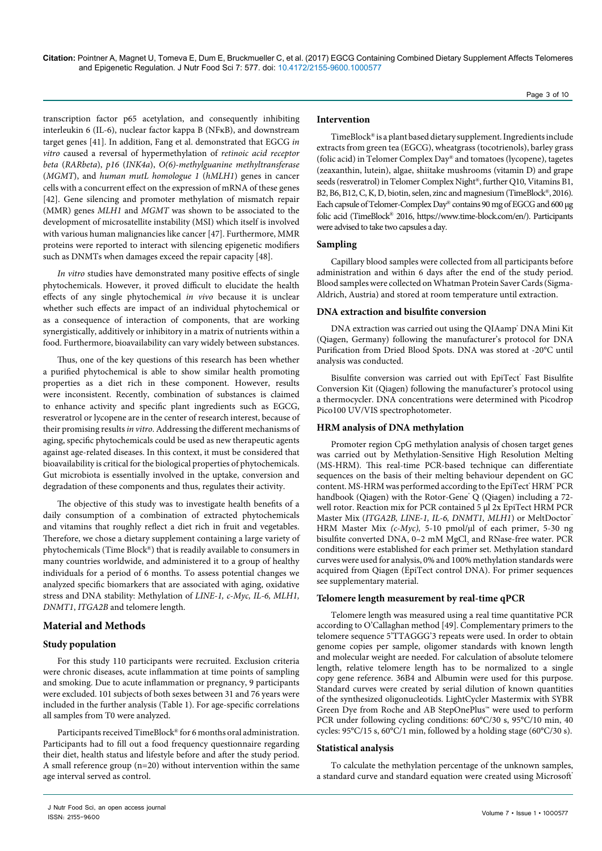transcription factor p65 acetylation, and consequently inhibiting interleukin 6 (IL-6), nuclear factor kappa B (NFκB), and downstream target genes [41]. In addition, Fang et al. demonstrated that EGCG *in vitro* caused a reversal of hypermethylation of *retinoic acid receptor beta* (*RARbeta*), *p16* (*INK4a*), *O(6)-methylguanine methyltransferase* (*MGMT*), and *human mutL homologue 1* (*hMLH1*) genes in cancer cells with a concurrent effect on the expression of mRNA of these genes [42]. Gene silencing and promoter methylation of mismatch repair (MMR) genes *MLH1* and *MGMT* was shown to be associated to the development of microsatellite instability (MSI) which itself is involved with various human malignancies like cancer [47]. Furthermore, MMR proteins were reported to interact with silencing epigenetic modifiers such as DNMTs when damages exceed the repair capacity [48].

*In vitro* studies have demonstrated many positive effects of single phytochemicals. However, it proved difficult to elucidate the health effects of any single phytochemical *in vivo* because it is unclear whether such effects are impact of an individual phytochemical or as a consequence of interaction of components, that are working synergistically, additively or inhibitory in a matrix of nutrients within a food. Furthermore, bioavailability can vary widely between substances.

Thus, one of the key questions of this research has been whether a purified phytochemical is able to show similar health promoting properties as a diet rich in these component. However, results were inconsistent. Recently, combination of substances is claimed to enhance activity and specific plant ingredients such as EGCG, resveratrol or lycopene are in the center of research interest, because of their promising results *in vitro*. Addressing the different mechanisms of aging, specific phytochemicals could be used as new therapeutic agents against age-related diseases. In this context, it must be considered that bioavailability is critical for the biological properties of phytochemicals. Gut microbiota is essentially involved in the uptake, conversion and degradation of these components and thus, regulates their activity.

The objective of this study was to investigate health benefits of a daily consumption of a combination of extracted phytochemicals and vitamins that roughly reflect a diet rich in fruit and vegetables. Therefore, we chose a dietary supplement containing a large variety of phytochemicals (Time Block®) that is readily available to consumers in many countries worldwide, and administered it to a group of healthy individuals for a period of 6 months. To assess potential changes we analyzed specific biomarkers that are associated with aging, oxidative stress and DNA stability: Methylation of *LINE-1, c-Myc, IL-6, MLH1, DNMT1*, *ITGA2B* and telomere length.

### **Material and Methods**

#### **Study population**

For this study 110 participants were recruited. Exclusion criteria were chronic diseases, acute inflammation at time points of sampling and smoking. Due to acute inflammation or pregnancy, 9 participants were excluded. 101 subjects of both sexes between 31 and 76 years were included in the further analysis (Table 1). For age-specific correlations all samples from T0 were analyzed.

Participants received TimeBlock® for 6 months oral administration. Participants had to fill out a food frequency questionnaire regarding their diet, health status and lifestyle before and after the study period. A small reference group (n=20) without intervention within the same age interval served as control.

#### **Intervention**

TimeBlock® is a plant based dietary supplement. Ingredients include extracts from green tea (EGCG), wheatgrass (tocotrienols), barley grass (folic acid) in Telomer Complex Day® and tomatoes (lycopene), tagetes (zeaxanthin, lutein), algae, shiitake mushrooms (vitamin D) and grape seeds (resveratrol) in Telomer Complex Night®, further Q10, Vitamins B1, B2, B6, B12, C, K, D, biotin, selen, zinc and magnesium (TimeBlock®, 2016). Each capsule of Telomer-Complex Day® contains 90 mg of EGCG and 600 µg folic acid (TimeBlock® 2016, <https://www.time-block.com/en/>). Participants were advised to take two capsules a day.

#### **Sampling**

Capillary blood samples were collected from all participants before administration and within 6 days after the end of the study period. Blood samples were collected on Whatman Protein Saver Cards (Sigma-Aldrich, Austria) and stored at room temperature until extraction.

#### **DNA extraction and bisulfite conversion**

DNA extraction was carried out using the QIAamp® DNA Mini Kit (Qiagen, Germany) following the manufacturer's protocol for DNA Purification from Dried Blood Spots. DNA was stored at -20°C until analysis was conducted.

Bisulfite conversion was carried out with EpiTect' Fast Bisulfite Conversion Kit (Qiagen) following the manufacturer's protocol using a thermocycler. DNA concentrations were determined with Picodrop Pico100 UV/VIS spectrophotometer.

#### **HRM analysis of DNA methylation**

Promoter region CpG methylation analysis of chosen target genes was carried out by Methylation-Sensitive High Resolution Melting (MS-HRM). This real-time PCR-based technique can differentiate sequences on the basis of their melting behaviour dependent on GC content. MS-HRM was performed according to the EpiTect' HRM" PCR handbook (Qiagen) with the Rotor-Gene® Q (Qiagen) including a 72well rotor. Reaction mix for PCR contained 5 µl 2x EpiTect HRM PCR Master Mix (*ITGA2B, LINE-1, IL-6, DNMT1, MLH1*) or MeltDoctor<sup>™</sup> HRM Master Mix (c-Myc), 5-10 pmol/µl of each primer, 5-30 ng bisulfite converted DNA,  $0-2$  mM MgCl<sub>2</sub> and RNase-free water. PCR conditions were established for each primer set. Methylation standard curves were used for analysis, 0% and 100% methylation standards were acquired from Qiagen (EpiTect control DNA). For primer sequences see supplementary material.

#### **Telomere length measurement by real-time qPCR**

Telomere length was measured using a real time quantitative PCR according to O'Callaghan method [49]. Complementary primers to the telomere sequence 5'TTAGGG'3 repeats were used. In order to obtain genome copies per sample, oligomer standards with known length and molecular weight are needed. For calculation of absolute telomere length, relative telomere length has to be normalized to a single copy gene reference. 36B4 and Albumin were used for this purpose. Standard curves were created by serial dilution of known quantities of the synthesized oligonucleotids. LightCycler Mastermix with SYBR Green Dye from Roche and AB StepOnePlus™ were used to perform PCR under following cycling conditions: 60°C/30 s, 95°C/10 min, 40 cycles: 95°C/15 s, 60°C/1 min, followed by a holding stage (60°C/30 s).

### **Statistical analysis**

To calculate the methylation percentage of the unknown samples, a standard curve and standard equation were created using Microsoft®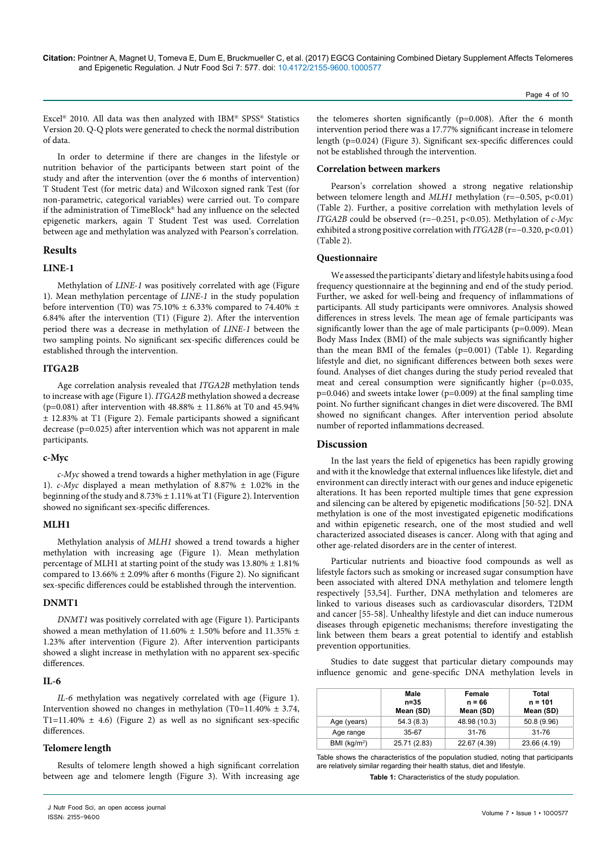Excel® 2010. All data was then analyzed with IBM® SPSS® Statistics Version 20. Q-Q plots were generated to check the normal distribution of data.

In order to determine if there are changes in the lifestyle or nutrition behavior of the participants between start point of the study and after the intervention (over the 6 months of intervention) T Student Test (for metric data) and Wilcoxon signed rank Test (for non-parametric, categorical variables) were carried out. To compare if the administration of TimeBlock® had any influence on the selected epigenetic markers, again T Student Test was used. Correlation between age and methylation was analyzed with Pearson's correlation.

## **Results**

#### **LINE-1**

Methylation of *LINE-1* was positively correlated with age (Figure 1). Mean methylation percentage of *LINE-1* in the study population before intervention (T0) was 75.10%  $\pm$  6.33% compared to 74.40%  $\pm$ 6.84% after the intervention (T1) (Figure 2). After the intervention period there was a decrease in methylation of *LINE-1* between the two sampling points. No significant sex-specific differences could be established through the intervention.

#### **ITGA2B**

Age correlation analysis revealed that *ITGA2B* methylation tends to increase with age (Figure 1). *ITGA2B* methylation showed a decrease (p=0.081) after intervention with  $48.88\% \pm 11.86\%$  at T0 and  $45.94\%$ ± 12.83% at T1 (Figure 2). Female participants showed a significant decrease (p=0.025) after intervention which was not apparent in male participants.

#### **c-Myc**

*c-Myc* showed a trend towards a higher methylation in age (Figure 1). *c-Myc* displayed a mean methylation of 8.87% ± 1.02% in the beginning of the study and  $8.73\% \pm 1.11\%$  at T1 (Figure 2). Intervention showed no significant sex-specific differences.

### **MLH1**

Methylation analysis of *MLH1* showed a trend towards a higher methylation with increasing age (Figure 1). Mean methylation percentage of MLH1 at starting point of the study was  $13.80\% \pm 1.81\%$ compared to  $13.66\% \pm 2.09\%$  after 6 months (Figure 2). No significant sex-specific differences could be established through the intervention.

#### **DNMT1**

*DNMT1* was positively correlated with age (Figure 1). Participants showed a mean methylation of 11.60% ± 1.50% before and 11.35% ± 1.23% after intervention (Figure 2). After intervention participants showed a slight increase in methylation with no apparent sex-specific differences.

### **IL-6**

*IL-6* methylation was negatively correlated with age (Figure 1). Intervention showed no changes in methylation (T0=11.40%  $\pm$  3.74, T1=11.40%  $\pm$  4.6) (Figure 2) as well as no significant sex-specific differences.

## **Telomere length**

Results of telomere length showed a high significant correlation between age and telomere length (Figure 3). With increasing age

the telomeres shorten significantly (p=0.008). After the 6 month intervention period there was a 17.77% significant increase in telomere length (p=0.024) (Figure 3). Significant sex-specific differences could not be established through the intervention.

### **Correlation between markers**

Pearson's correlation showed a strong negative relationship between telomere length and *MLH1* methylation (r=−0.505, p<0.01) (Table 2). Further, a positive correlation with methylation levels of *ITGA2B* could be observed (r=−0.251, p<0.05). Methylation of *c-Myc* exhibited a strong positive correlation with *ITGA2B* (r=−0.320, p<0.01) (Table 2).

#### **Questionnaire**

We assessed the participants' dietary and lifestyle habits using a food frequency questionnaire at the beginning and end of the study period. Further, we asked for well-being and frequency of inflammations of participants. All study participants were omnivores. Analysis showed differences in stress levels. The mean age of female participants was significantly lower than the age of male participants ( $p=0.009$ ). Mean Body Mass Index (BMI) of the male subjects was significantly higher than the mean BMI of the females (p=0.001) (Table 1). Regarding lifestyle and diet, no significant differences between both sexes were found. Analyses of diet changes during the study period revealed that meat and cereal consumption were significantly higher (p=0.035,  $p=0.046$ ) and sweets intake lower ( $p=0.009$ ) at the final sampling time point. No further significant changes in diet were discovered. The BMI showed no significant changes. After intervention period absolute number of reported inflammations decreased.

### **Discussion**

In the last years the field of epigenetics has been rapidly growing and with it the knowledge that external influences like lifestyle, diet and environment can directly interact with our genes and induce epigenetic alterations. It has been reported multiple times that gene expression and silencing can be altered by epigenetic modifications [50-52]. DNA methylation is one of the most investigated epigenetic modifications and within epigenetic research, one of the most studied and well characterized associated diseases is cancer. Along with that aging and other age-related disorders are in the center of interest.

Particular nutrients and bioactive food compounds as well as lifestyle factors such as smoking or increased sugar consumption have been associated with altered DNA methylation and telomere length respectively [53,54]. Further, DNA methylation and telomeres are linked to various diseases such as cardiovascular disorders, T2DM and cancer [55-58]. Unhealthy lifestyle and diet can induce numerous diseases through epigenetic mechanisms; therefore investigating the link between them bears a great potential to identify and establish prevention opportunities.

Studies to date suggest that particular dietary compounds may influence genomic and gene-specific DNA methylation levels in

|                 | Male<br>$n = 35$<br>Mean (SD) | Female<br>$n = 66$<br>Mean (SD) | Total<br>$n = 101$<br>Mean (SD) |  |
|-----------------|-------------------------------|---------------------------------|---------------------------------|--|
| Age (years)     | 54.3(8.3)                     | 48.98 (10.3)                    | 50.8 (9.96)                     |  |
| Age range       | 35-67                         | $31 - 76$                       | $31 - 76$                       |  |
| BMI ( $kg/m2$ ) | 25.71 (2.83)                  | 22.67 (4.39)                    | 23.66 (4.19)                    |  |

Table shows the characteristics of the population studied, noting that participants are relatively similar regarding their health status, diet and lifestyle.

**Table 1:** Characteristics of the study population.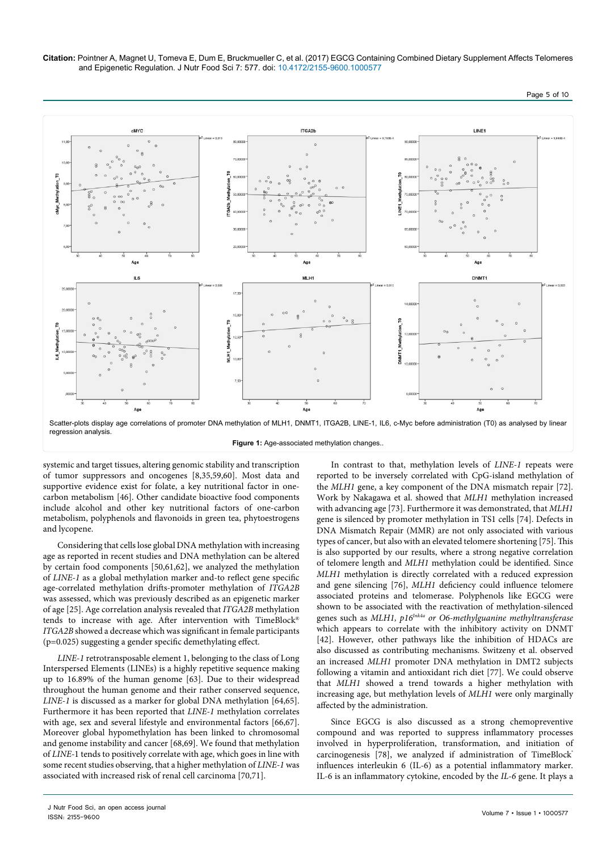

**Figure 1:** Age-associated methylation changes..

systemic and target tissues, altering genomic stability and transcription of tumor suppressors and oncogenes [8,35,59,60]. Most data and supportive evidence exist for folate, a key nutritional factor in onecarbon metabolism [46]. Other candidate bioactive food components include alcohol and other key nutritional factors of one-carbon metabolism, polyphenols and flavonoids in green tea, phytoestrogens and lycopene.

Considering that cells lose global DNA methylation with increasing age as reported in recent studies and DNA methylation can be altered by certain food components [50,61,62], we analyzed the methylation of *LINE-1* as a global methylation marker and-to reflect gene specific age-correlated methylation drifts-promoter methylation of *ITGA2B* was assessed, which was previously described as an epigenetic marker of age [25]. Age correlation analysis revealed that *ITGA2B* methylation tends to increase with age. After intervention with TimeBlock® *ITGA2B* showed a decrease which was significant in female participants (p=0.025) suggesting a gender specific demethylating effect.

*LINE-1* retrotransposable element 1, belonging to the class of Long Interspersed Elements (LINEs) is a highly repetitive sequence making up to 16.89% of the human genome [63]. Due to their widespread throughout the human genome and their rather conserved sequence, *LINE-1* is discussed as a marker for global DNA methylation [64,65]. Furthermore it has been reported that *LINE-1* methylation correlates with age, sex and several lifestyle and environmental factors [66,67]. Moreover global hypomethylation has been linked to chromosomal and genome instability and cancer [68,69]. We found that methylation of *LINE-*1 tends to positively correlate with age, which goes in line with some recent studies observing, that a higher methylation of *LINE-1* was associated with increased risk of renal cell carcinoma [70,71].

In contrast to that, methylation levels of *LINE-1* repeats were reported to be inversely correlated with CpG-island methylation of the *MLH1* gene, a key component of the DNA mismatch repair [72]. Work by Nakagawa et al. showed that *MLH1* methylation increased with advancing age [73]. Furthermore it was demonstrated, that *MLH1* gene is silenced by promoter methylation in TS1 cells [74]. Defects in DNA Mismatch Repair (MMR) are not only associated with various types of cancer, but also with an elevated telomere shortening [75]. This is also supported by our results, where a strong negative correlation of telomere length and *MLH1* methylation could be identified. Since *MLH1* methylation is directly correlated with a reduced expression and gene silencing [76], *MLH1* deficiency could influence telomere associated proteins and telomerase. Polyphenols like EGCG were shown to be associated with the reactivation of methylation-silenced genes such as *MLH1, p16Ink4a or O6-methylguanine methyltransferase* which appears to correlate with the inhibitory activity on DNMT [42]. However, other pathways like the inhibition of HDACs are also discussed as contributing mechanisms. Switzeny et al. observed an increased *MLH1* promoter DNA methylation in DMT2 subjects following a vitamin and antioxidant rich diet [77]. We could observe that *MLH1* showed a trend towards a higher methylation with increasing age, but methylation levels of *MLH1* were only marginally affected by the administration.

Since EGCG is also discussed as a strong chemopreventive compound and was reported to suppress inflammatory processes involved in hyperproliferation, transformation, and initiation of carcinogenesis [78], we analyzed if administration of TimeBlock<sup>®</sup> influences interleukin 6 (IL-6) as a potential inflammatory marker. IL-6 is an inflammatory cytokine, encoded by the *IL-6* gene. It plays a

Page 5 of 10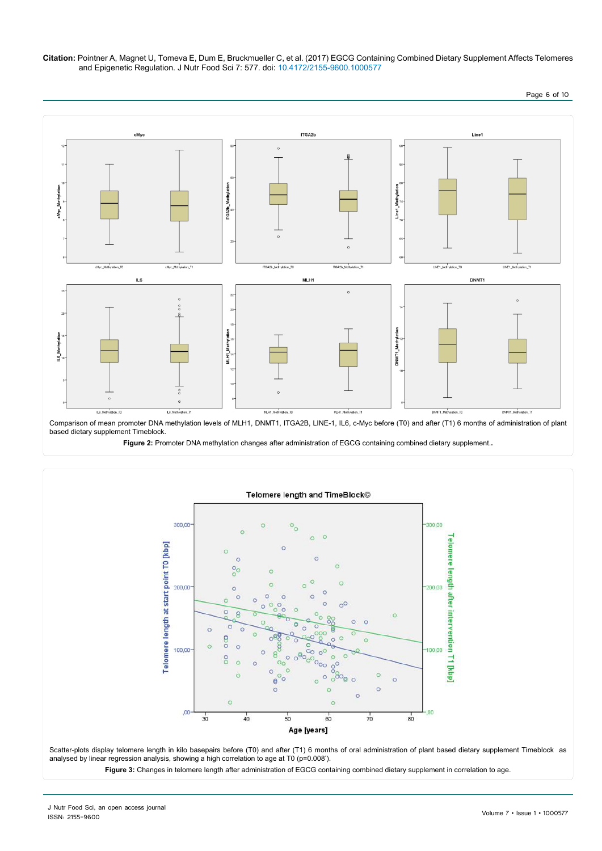

**Figure 2:** Promoter DNA methylation changes after administration of EGCG containing combined dietary supplement.**.**

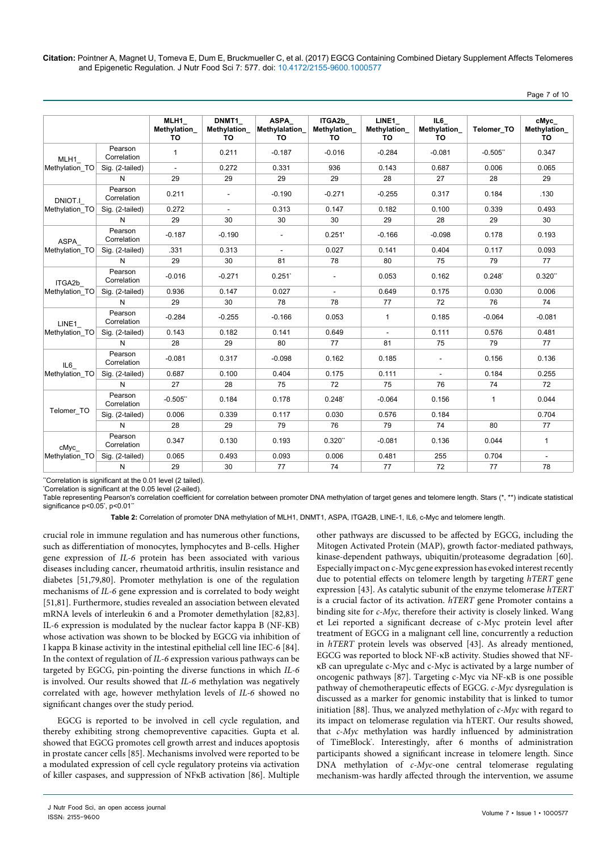| ี∽ล<br>∼ | ำf |  |
|----------|----|--|
|          |    |  |

|                          |                        | MLH <sub>1</sub><br>Methylation<br><b>TO</b> | DNMT1<br>Methylation<br>TO | <b>ASPA</b><br>Methylalation<br><b>TO</b> | ITGA2b<br>Methylation<br><b>TO</b> | LINE1<br>Methylation<br>TO | IL6<br>Methylation_<br><b>TO</b> | <b>Telomer TO</b> | cMyc<br>Methylation<br><b>TO</b> |
|--------------------------|------------------------|----------------------------------------------|----------------------------|-------------------------------------------|------------------------------------|----------------------------|----------------------------------|-------------------|----------------------------------|
| MLH1<br>Methylation TO   | Pearson<br>Correlation | $\mathbf{1}$                                 | 0.211                      | $-0.187$                                  | $-0.016$                           | $-0.284$                   | $-0.081$                         | $-0.505"$         | 0.347                            |
|                          | Sig. (2-tailed)        | $\overline{\phantom{a}}$                     | 0.272                      | 0.331                                     | 936                                | 0.143                      | 0.687                            | 0.006             | 0.065                            |
|                          | N                      | 29                                           | 29                         | 29                                        | 29                                 | 28                         | 27                               | 28                | 29                               |
| DNIOT.I                  | Pearson<br>Correlation | 0.211                                        | $\overline{\phantom{a}}$   | $-0.190$                                  | $-0.271$                           | $-0.255$                   | 0.317                            | 0.184             | .130                             |
| Methylation TO           | Sig. (2-tailed)        | 0.272                                        | ÷,                         | 0.313                                     | 0.147                              | 0.182                      | 0.100                            | 0.339             | 0.493                            |
|                          | N                      | 29                                           | 30                         | 30                                        | 30                                 | 29                         | 28                               | 29                | 30                               |
| ASPA<br>Methylation TO   | Pearson<br>Correlation | $-0.187$                                     | $-0.190$                   |                                           | 0.251'                             | $-0.166$                   | $-0.098$                         | 0.178             | 0.193                            |
|                          | Sig. (2-tailed)        | .331                                         | 0.313                      | $\overline{\phantom{a}}$                  | 0.027                              | 0.141                      | 0.404                            | 0.117             | 0.093                            |
|                          | N                      | 29                                           | 30                         | 81                                        | 78                                 | 80                         | 75                               | 79                | 77                               |
| ITGA2b<br>Methylation TO | Pearson<br>Correlation | $-0.016$                                     | $-0.271$                   | 0.251                                     | $\overline{\phantom{a}}$           | 0.053                      | 0.162                            | 0.248             | 0.320"                           |
|                          | Sig. (2-tailed)        | 0.936                                        | 0.147                      | 0.027                                     | $\blacksquare$                     | 0.649                      | 0.175                            | 0.030             | 0.006                            |
|                          | N                      | 29                                           | 30                         | 78                                        | 78                                 | 77                         | 72                               | 76                | 74                               |
| LINE1                    | Pearson<br>Correlation | $-0.284$                                     | $-0.255$                   | $-0.166$                                  | 0.053                              | $\mathbf{1}$               | 0.185                            | $-0.064$          | $-0.081$                         |
| Methylation TO           | Sig. (2-tailed)        | 0.143                                        | 0.182                      | 0.141                                     | 0.649                              | ÷,                         | 0.111                            | 0.576             | 0.481                            |
|                          | N                      | 28                                           | 29                         | 80                                        | 77                                 | 81                         | 75                               | 79                | 77                               |
| IL6                      | Pearson<br>Correlation | $-0.081$                                     | 0.317                      | $-0.098$                                  | 0.162                              | 0.185                      | ٠                                | 0.156             | 0.136                            |
| Methylation TO           | Sig. (2-tailed)        | 0.687                                        | 0.100                      | 0.404                                     | 0.175                              | 0.111                      | $\overline{\phantom{a}}$         | 0.184             | 0.255                            |
|                          | N                      | 27                                           | 28                         | 75                                        | 72                                 | 75                         | 76                               | 74                | 72                               |
| Telomer TO               | Pearson<br>Correlation | $-0.505$ "                                   | 0.184                      | 0.178                                     | 0.248                              | $-0.064$                   | 0.156                            | $\mathbf{1}$      | 0.044                            |
|                          | Sig. (2-tailed)        | 0.006                                        | 0.339                      | 0.117                                     | 0.030                              | 0.576                      | 0.184                            |                   | 0.704                            |
|                          | N                      | 28                                           | 29                         | 79                                        | 76                                 | 79                         | 74                               | 80                | 77                               |
| cMyc<br>Methylation TO   | Pearson<br>Correlation | 0.347                                        | 0.130                      | 0.193                                     | 0.320"                             | $-0.081$                   | 0.136                            | 0.044             | $\mathbf{1}$                     |
|                          | Sig. (2-tailed)        | 0.065                                        | 0.493                      | 0.093                                     | 0.006                              | 0.481                      | 255                              | 0.704             | $\overline{\phantom{a}}$         |
|                          | N                      | 29                                           | 30                         | 77                                        | 74                                 | 77                         | 72                               | 77                | 78                               |

"Correlation is significant at the 0.01 level (2 tailed).

\* Correlation is significant at the 0.05 level (2-ailed).

Table representing Pearson's correlation coefficient for correlation between promoter DNA methylation of target genes and telomere length. Stars (\*, \*\*) indicate statistical significance p<0.05`, p<0.01<sup>\*</sup>\*

**Table 2:** Correlation of promoter DNA methylation of MLH1, DNMT1, ASPA, ITGA2B, LINE-1, IL6, c-Myc and telomere length.

crucial role in immune regulation and has numerous other functions, such as differentiation of monocytes, lymphocytes and B-cells. Higher gene expression of *IL-6* protein has been associated with various diseases including cancer, rheumatoid arthritis, insulin resistance and diabetes [51,79,80]. Promoter methylation is one of the regulation mechanisms of *IL-6* gene expression and is correlated to body weight [51,81]. Furthermore, studies revealed an association between elevated mRNA levels of interleukin 6 and a Promoter demethylation [82,83]. IL-6 expression is modulated by the nuclear factor kappa B (NF-KB) whose activation was shown to be blocked by EGCG via inhibition of I kappa B kinase activity in the intestinal epithelial cell line IEC-6 [84]. In the context of regulation of *IL-6* expression various pathways can be targeted by EGCG, pin-pointing the diverse functions in which *IL-6* is involved. Our results showed that *IL-6* methylation was negatively correlated with age, however methylation levels of *IL-6* showed no significant changes over the study period.

EGCG is reported to be involved in cell cycle regulation, and thereby exhibiting strong chemopreventive capacities. Gupta et al. showed that EGCG promotes cell growth arrest and induces apoptosis in prostate cancer cells [85]. Mechanisms involved were reported to be a modulated expression of cell cycle regulatory proteins via activation of killer caspases, and suppression of NFκB activation [86]. Multiple

other pathways are discussed to be affected by EGCG, including the Mitogen Activated Protein (MAP), growth factor-mediated pathways, kinase-dependent pathways, ubiquitin/proteasome degradation [60]. Especially impact on c-Myc gene expression has evoked interest recently due to potential effects on telomere length by targeting *hTERT* gene expression [43]. As catalytic subunit of the enzyme telomerase *hTERT* is a crucial factor of its activation. *hTERT* gene Promoter contains a binding site for *c-Myc*, therefore their activity is closely linked. Wang et Lei reported a significant decrease of c-Myc protein level after treatment of EGCG in a malignant cell line, concurrently a reduction in *hTERT* protein levels was observed [43]. As already mentioned, EGCG was reported to block NF-κB activity. Studies showed that NFκB can upregulate c-Myc and c-Myc is activated by a large number of oncogenic pathways [87]. Targeting c-Myc via NF-κB is one possible pathway of chemotherapeutic effects of EGCG. *c-Myc* dysregulation is discussed as a marker for genomic instability that is linked to tumor initiation [88]. Thus, we analyzed methylation of *c-Myc* with regard to its impact on telomerase regulation via hTERT. Our results showed, that *c-Myc* methylation was hardly influenced by administration of TimeBlock<sup>\*</sup>. Interestingly, after 6 months of administration participants showed a significant increase in telomere length. Since DNA methylation of *c-Myc*-one central telomerase regulating mechanism-was hardly affected through the intervention, we assume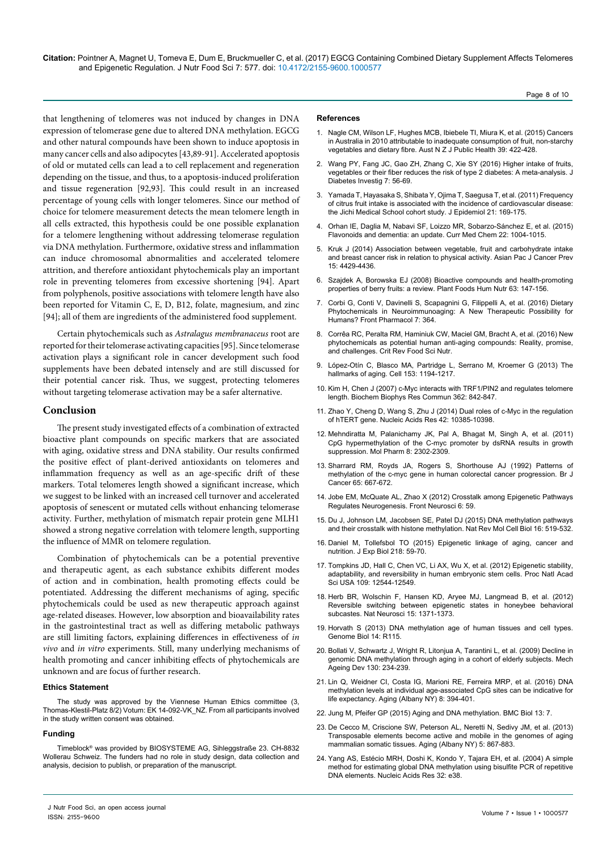that lengthening of telomeres was not induced by changes in DNA expression of telomerase gene due to altered DNA methylation. EGCG and other natural compounds have been shown to induce apoptosis in many cancer cells and also adipocytes [43,89-91]. Accelerated apoptosis of old or mutated cells can lead a to cell replacement and regeneration depending on the tissue, and thus, to a apoptosis-induced proliferation and tissue regeneration [92,93]. This could result in an increased percentage of young cells with longer telomeres. Since our method of choice for telomere measurement detects the mean telomere length in all cells extracted, this hypothesis could be one possible explanation for a telomere lengthening without addressing telomerase regulation via DNA methylation. Furthermore, oxidative stress and inflammation can induce chromosomal abnormalities and accelerated telomere attrition, and therefore antioxidant phytochemicals play an important role in preventing telomeres from excessive shortening [94]. Apart from polyphenols, positive associations with telomere length have also been reported for Vitamin C, E, D, B12, folate, magnesium, and zinc [94]; all of them are ingredients of the administered food supplement.

Certain phytochemicals such as *Astralagus membranaceus* root are reported for their telomerase activating capacities [95]. Since telomerase activation plays a significant role in cancer development such food supplements have been debated intensely and are still discussed for their potential cancer risk. Thus, we suggest, protecting telomeres without targeting telomerase activation may be a safer alternative.

#### **Conclusion**

The present study investigated effects of a combination of extracted bioactive plant compounds on specific markers that are associated with aging, oxidative stress and DNA stability. Our results confirmed the positive effect of plant-derived antioxidants on telomeres and inflammation frequency as well as an age-specific drift of these markers. Total telomeres length showed a significant increase, which we suggest to be linked with an increased cell turnover and accelerated apoptosis of senescent or mutated cells without enhancing telomerase activity. Further, methylation of mismatch repair protein gene MLH1 showed a strong negative correlation with telomere length, supporting the influence of MMR on telomere regulation.

Combination of phytochemicals can be a potential preventive and therapeutic agent, as each substance exhibits different modes of action and in combination, health promoting effects could be potentiated. Addressing the different mechanisms of aging, specific phytochemicals could be used as new therapeutic approach against age-related diseases. However, low absorption and bioavailability rates in the gastrointestinal tract as well as differing metabolic pathways are still limiting factors, explaining differences in effectiveness of *in vivo* and *in vitro* experiments. Still, many underlying mechanisms of health promoting and cancer inhibiting effects of phytochemicals are unknown and are focus of further research.

#### **Ethics Statement**

The study was approved by the Viennese Human Ethics committee (3, Thomas-Klestil-Platz 8/2) Votum: EK 14-092-VK\_NZ. From all participants involved in the study written consent was obtained.

#### **Funding**

Timeblock® was provided by BIOSYSTEME AG, Sihleggstraße 23. CH-8832 Wollerau Schweiz. The funders had no role in study design, data collection and analysis, decision to publish, or preparation of the manuscript.

#### **References**

- 1. [Nagle CM, Wilson LF, Hughes MCB, Ibiebele TI, Miura K, et al. \(2015\) Cancers](https://doi.org/10.1111/1753-6405.12449)  [in Australia in 2010 attributable to inadequate consumption of fruit, non-starchy](https://doi.org/10.1111/1753-6405.12449)  [vegetables and dietary fibre. Aust N Z J Public Health 39: 422-428.](https://doi.org/10.1111/1753-6405.12449)
- 2. [Wang PY, Fang JC, Gao ZH, Zhang C, Xie SY \(2016\) Higher intake of fruits,](https://doi.org/10.1111/jdi.12376)  [vegetables or their fiber reduces the risk of type 2 diabetes: A meta-analysis. J](https://doi.org/10.1111/jdi.12376)  [Diabetes Investig 7: 56-69.](https://doi.org/10.1111/jdi.12376)
- 3. [Yamada T, Hayasaka S, Shibata Y, Ojima T, Saegusa T, et al. \(2011\) Frequency](https://doi.org/10.2188/jea.je20100084)  [of citrus fruit intake is associated with the incidence of cardiovascular disease:](https://doi.org/10.2188/jea.je20100084)  [the Jichi Medical School cohort study. J Epidemiol 21: 169-175.](https://doi.org/10.2188/jea.je20100084)
- 4. [Orhan IE, Daglia M, Nabavi SF, Loizzo MR, Sobarzo-Sánchez E, et al. \(2015\)](https://doi.org/10.2174/0929867322666141212122352)  [Flavonoids and dementia: an update. Curr Med Chem 22: 1004-1015.](https://doi.org/10.2174/0929867322666141212122352)
- Kruk J (2014) Association between vegetable, fruit and carbohydrate intake [and breast cancer risk in relation to physical activity. Asian Pac J Cancer Prev](https://doi.org/10.7314/apjcp.2014.15.11.4429)  [15: 4429-4436.](https://doi.org/10.7314/apjcp.2014.15.11.4429)
- 6. [Szajdek A, Borowska EJ \(2008\) Bioactive compounds and health-promoting](http://dx.doi.org/10.1007/s11130-008-0097-5)  [properties of berry fruits: a review. Plant Foods Hum Nutr 63: 147-156.](http://dx.doi.org/10.1007/s11130-008-0097-5)
- 7. [Corbi G, Conti V, Davinelli S, Scapagnini G, Filippelli A, et al. \(2016\) Dietary](https://doi.org/10.3389/fphar.2016.00364)  [Phytochemicals in Neuroimmunoaging: A New Therapeutic Possibility for](https://doi.org/10.3389/fphar.2016.00364)  [Humans? Front Pharmacol 7: 364.](https://doi.org/10.3389/fphar.2016.00364)
- 8. [Corrêa RC, Peralta RM, Haminiuk CW, Maciel GM, Bracht A, et al. \(2016\) New](http://dx.doi.org/10.1080/10408398.2016.1233860)  [phytochemicals as potential human anti-aging compounds: Reality, promise,](http://dx.doi.org/10.1080/10408398.2016.1233860)  .<br>[and challenges. Crit Rev Food Sci Nutr.](http://dx.doi.org/10.1080/10408398.2016.1233860)
- 9. López-Otín C, Blasco MA, Partridge L, Serrano M, Kroemer G (2013) The hallmarks of aging. Cell 153: 1194-1217.
- 10. [Kim H, Chen J \(2007\) c-Myc interacts with TRF1/PIN2 and regulates telomere](https://doi.org/10.1016/j.bbrc.2007.08.064)  [length. Biochem Biophys Res Commun 362: 842-847.](https://doi.org/10.1016/j.bbrc.2007.08.064)
- 11. [Zhao Y, Cheng D, Wang S, Zhu J \(2014\) Dual roles of c-Myc in the regulation](https://doi.org/10.1093/nar/gku721)  [of hTERT gene. Nucleic Acids Res 42: 10385-10398.](https://doi.org/10.1093/nar/gku721)
- 12. [Mehndiratta M, Palanichamy JK, Pal A, Bhagat M, Singh A, et al. \(2011\)](http://dx.doi.org/10.1021/mp200177z)  [CpG hypermethylation of the C-myc promoter by dsRNA results in growth](http://dx.doi.org/10.1021/mp200177z)  [suppression. Mol Pharm 8: 2302-2309.](http://dx.doi.org/10.1021/mp200177z)
- 13. [Sharrard RM, Royds JA, Rogers S, Shorthouse AJ \(1992\) Patterns of](https://doi.org/10.1038/bjc.1992.142)  [methylation of the c-myc gene in human colorectal cancer progression. Br J](https://doi.org/10.1038/bjc.1992.142)  [Cancer 65: 667-672.](https://doi.org/10.1038/bjc.1992.142)
- 14. [Jobe EM, McQuate AL, Zhao X \(2012\) Crosstalk among Epigenetic Pathways](https://doi.org/10.3389/fnins.2012.00059)  [Regulates Neurogenesis. Front Neurosci 6: 59.](https://doi.org/10.3389/fnins.2012.00059)
- 15. [Du J, Johnson LM, Jacobsen SE, Patel DJ \(2015\) DNA methylation pathways](https://doi.org/10.1038/nrm4043)  [and their crosstalk with histone methylation. Nat Rev Mol Cell Biol 16: 519-532.](https://doi.org/10.1038/nrm4043)
- 16. [Daniel M, Tollefsbol TO \(2015\) Epigenetic linkage of aging, cancer and](https://doi.org/10.1242/jeb.107110)  [nutrition. J Exp Biol 218: 59-70.](https://doi.org/10.1242/jeb.107110)
- 17. [Tompkins JD, Hall C, Chen VC, Li AX, Wu X, et al. \(2012\) Epigenetic stability,](https://doi.org/10.1073/pnas.1209620109)  [adaptability, and reversibility in human embryonic stem cells. Proc Natl Acad](https://doi.org/10.1073/pnas.1209620109)  [Sci USA 109: 12544-12549.](https://doi.org/10.1073/pnas.1209620109)
- 18. [Herb BR, Wolschin F, Hansen KD, Aryee MJ, Langmead B, et al. \(2012\)](https://doi.org/10.1038/nn.3218)  [Reversible switching between epigenetic states in honeybee behavioral](https://doi.org/10.1038/nn.3218)  [subcastes. Nat Neurosci 15: 1371-1373.](https://doi.org/10.1038/nn.3218)
- 19. [Horvath S \(2013\) DNA methylation age of human tissues and cell types.](https://doi.org/10.1186/gb-2013-14-10-r115)  [Genome Biol 14: R115.](https://doi.org/10.1186/gb-2013-14-10-r115)
- 20. [Bollati V, Schwartz J, Wright R, Litonjua A, Tarantini L, et al. \(2009\) Decline in](https://doi.org/10.1016/j.mad.2008.12.003)  [genomic DNA methylation through aging in a cohort of elderly subjects. Mech](https://doi.org/10.1016/j.mad.2008.12.003)  [Ageing Dev 130: 234-239.](https://doi.org/10.1016/j.mad.2008.12.003)
- 21. [Lin Q, Weidner CI, Costa IG, Marioni RE, Ferreira MRP, et al. \(2016\) DNA](https://doi.org/10.18632/aging.100908)  [methylation levels at individual age-associated CpG sites can be indicative for](https://doi.org/10.18632/aging.100908)  [life expectancy. Aging \(Albany NY\) 8: 394-401.](https://doi.org/10.18632/aging.100908)
- 22. Jung M, Pfeifer GP (2015) Aging and DNA methylation. BMC Biol 13: 7.
- 23. [De Cecco M, Criscione SW, Peterson AL, Neretti N, Sedivy JM, et al. \(2013\)](https://doi.org/10.18632/aging.100621)  [Transposable elements become active and mobile in the genomes of aging](https://doi.org/10.18632/aging.100621)  [mammalian somatic tissues. Aging \(Albany NY\) 5: 867-883.](https://doi.org/10.18632/aging.100621)
- 24. [Yang AS, Estécio MRH, Doshi K, Kondo Y, Tajara EH, et al. \(2004\) A simple](https://doi.org/10.1093/nar/gnh032)  [method for estimating global DNA methylation using bisulfite PCR of repetitive](https://doi.org/10.1093/nar/gnh032)  [DNA elements. Nucleic Acids Res 32: e38.](https://doi.org/10.1093/nar/gnh032)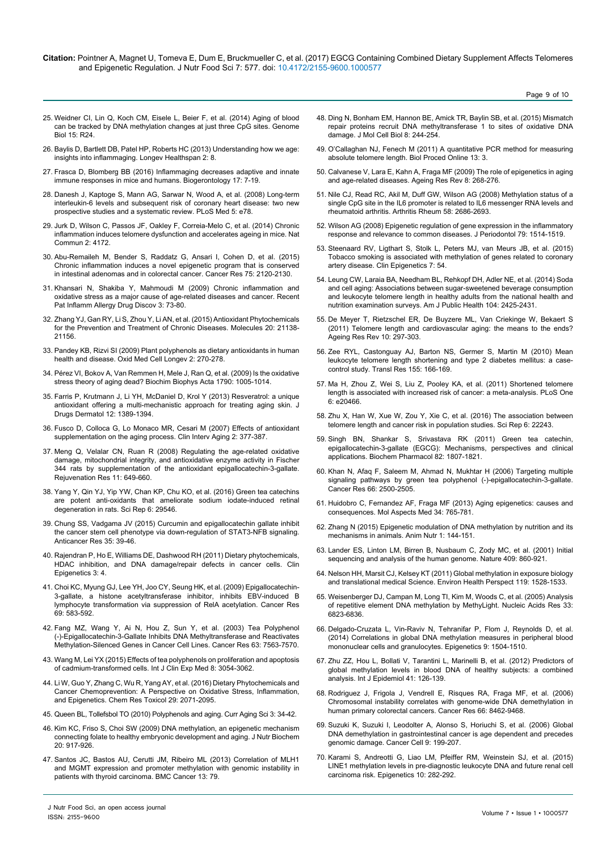Page 9 of 10

- 25. [Weidner CI, Lin Q, Koch CM, Eisele L, Beier F, et al. \(2014\) Aging of blood](https://doi.org/10.1186/gb-2014-15-2-r24) [can be tracked by DNA methylation changes at just three CpG sites. Genome](https://doi.org/10.1186/gb-2014-15-2-r24) [Biol 15: R24.](https://doi.org/10.1186/gb-2014-15-2-r24)
- 26. [Baylis D, Bartlett DB, Patel HP, Roberts HC \(2013\) Understanding how we age:](https://doi.org/10.1186/2046-2395-2-8) [insights into inflammaging. Longev Healthspan 2: 8.](https://doi.org/10.1186/2046-2395-2-8)
- 27. [Frasca D, Blomberg BB \(2016\) Inflammaging decreases adaptive and innate](https://doi.org/10.1007/s10522-015-9578-8) [immune responses in mice and humans. Biogerontology 17: 7-19.](https://doi.org/10.1007/s10522-015-9578-8)
- 28. [Danesh J, Kaptoge S, Mann AG, Sarwar N, Wood A, et al. \(2008\) Long-term](https://doi.org/10.1371/journal.pmed.0050078) [interleukin-6 levels and subsequent risk of coronary heart disease: two new](https://doi.org/10.1371/journal.pmed.0050078) [prospective studies and a systematic review. PLoS Med 5: e78.](https://doi.org/10.1371/journal.pmed.0050078)
- 29. [Jurk D, Wilson C, Passos JF, Oakley F, Correia-Melo C, et al. \(2014\) Chronic](https://doi.org/10.1038/ncomms5172) [inflammation induces telomere dysfunction and accelerates ageing in mice. Nat](https://doi.org/10.1038/ncomms5172) [Commun 2: 4172.](https://doi.org/10.1038/ncomms5172)
- 30. [Abu-Remaileh M, Bender S, Raddatz G, Ansari I, Cohen D, et al. \(2015\)](https://doi.org/10.1158/0008-5472.can-14-3295) [Chronic inflammation induces a novel epigenetic program that is conserved](https://doi.org/10.1158/0008-5472.can-14-3295) [in intestinal adenomas and in colorectal cancer. Cancer Res 75: 2120-2130.](https://doi.org/10.1158/0008-5472.can-14-3295)
- 31. [Khansari N, Shakiba Y, Mahmoudi M \(2009\) Chronic inflammation and](https://doi.org/10.2174/187221309787158371) [oxidative stress as a major cause of age-related diseases and cancer. Recent](https://doi.org/10.2174/187221309787158371) [Pat Inflamm Allergy Drug Discov 3: 73-80.](https://doi.org/10.2174/187221309787158371)
- 32. [Zhang YJ, Gan RY, Li S, Zhou Y, Li AN, et al. \(2015\) Antioxidant Phytochemicals](http://dx.doi.org/10.3390/molecules201219753) [for the Prevention and Treatment of Chronic Diseases. Molecules 20: 21138-](http://dx.doi.org/10.3390/molecules201219753) [21156.](http://dx.doi.org/10.3390/molecules201219753)
- 33. [Pandey KB, Rizvi SI \(2009\) Plant polyphenols as dietary antioxidants in human](https://doi.org/10.1016/b978-0-12-398456-2.00027-x) [health and disease. Oxid Med Cell Longev 2: 270-278.](https://doi.org/10.1016/b978-0-12-398456-2.00027-x)
- 34. [Pérez VI, Bokov A, Van Remmen H, Mele J, Ran Q, et al. \(2009\) Is the oxidative](http://dx.doi.org/10.1016/j.bbagen.2009.06.003) [stress theory of aging dead? Biochim Biophys Acta 1790: 1005-1014.](http://dx.doi.org/10.1016/j.bbagen.2009.06.003)
- 35. [Farris P, Krutmann J, Li YH, McDaniel D, Krol Y \(2013\) Resveratrol: a unique](http://jddonline.com/articles/dermatology/S1545961613P1389X/1) [antioxidant offering a multi-mechanistic approach for treating aging skin. J](http://jddonline.com/articles/dermatology/S1545961613P1389X/1) [Drugs Dermatol 12: 1389-1394.](http://jddonline.com/articles/dermatology/S1545961613P1389X/1)
- 36. [Fusco D, Colloca G, Lo Monaco MR, Cesari M \(2007\) Effects of antioxidant](http://dx.doi.org/10.1155/2014/404680) [supplementation on the aging process. Clin Interv Aging 2: 377-387.](http://dx.doi.org/10.1155/2014/404680)
- 37. [Meng Q, Velalar CN, Ruan R \(2008\) Regulating the age-related oxidative](https://doi.org/10.1089/rej.2007.0645) [damage, mitochondrial integrity, and antioxidative enzyme activity in Fischer](https://doi.org/10.1089/rej.2007.0645) [344 rats by supplementation of the antioxidant epigallocatechin-3-gallate.](https://doi.org/10.1089/rej.2007.0645) [Rejuvenation Res 11: 649-660.](https://doi.org/10.1089/rej.2007.0645)
- 38. [Yang Y, Qin YJ, Yip YW, Chan KP, Chu KO](https://doi.org/10.1038/srep29546), et al. (2016) Green tea catechins [are potent anti-oxidants that ameliorate sodium iodate-induced retinal](https://doi.org/10.1038/srep29546) [degeneration in rats. Sci Rep 6: 29546.](https://doi.org/10.1038/srep29546)
- 39. Chung SS, Vadgama JV (2015) Curcumin and epigallocatechin gallate inhibit the cancer stem cell phenotype via down-regulation of STAT3-NFB signaling. Anticancer Res 35: 39-46.
- 40. [Rajendran P, Ho E, Williams DE, Dashwood RH \(2011\) Dietary phytochemicals,](https://doi.org/10.1186/1868-7083-3-4) [HDAC inhibition, and DNA damage/repair defects in cancer cells. Clin](https://doi.org/10.1186/1868-7083-3-4) [Epigenetics 3: 4.](https://doi.org/10.1186/1868-7083-3-4)
- 41. [Choi KC, Myung GJ, Lee YH, Joo CY, Seung HK, et al. \(2009\) Epigallocatechin-](https://doi.org/10.1158/0008-5472.can-08-2442)[3-gallate, a histone acetyltransferase inhibitor, inhibits EBV-induced B](https://doi.org/10.1158/0008-5472.can-08-2442) [lymphocyte transformation via suppression of RelA acetylation. Cancer Res](https://doi.org/10.1158/0008-5472.can-08-2442) [69: 583-592.](https://doi.org/10.1158/0008-5472.can-08-2442)
- 42. Fang MZ, Wang Y, Ai N, Hou Z, Sun Y, et al. (2003) Tea Polyphenol (-)-Epigallocatechin-3-Gallate Inhibits DNA Methyltransferase and Reactivates Methylation-Silenced Genes in Cancer Cell Lines. Cancer Res 63: 7563-7570.
- 43. Wang M, Lei YX (2015) Effects of tea polyphenols on proliferation and apoptosis of cadmium-transformed cells. Int J Clin Exp Med 8: 3054-3062.
- 44. [Li W, Guo Y, Zhang C, Wu R, Yang AY, et al. \(2016\) Dietary Phytochemicals and](http://dx.doi.org/10.1021/acs.chemrestox.6b00413) [Cancer Chemoprevention: A Perspective on Oxidative Stress, Inflammation,](http://dx.doi.org/10.1021/acs.chemrestox.6b00413) [and Epigenetics. Chem Res Toxicol 29: 2071-2095.](http://dx.doi.org/10.1021/acs.chemrestox.6b00413)
- 45. [Queen BL, Tollefsbol TO \(2010\) Polyphenols and aging. Curr Aging Sci 3: 34-42.](https://doi.org/10.2174/1874612811003010034)
- 46. [Kim KC, Friso S, Choi SW \(2009\) DNA methylation, an epigenetic mechanism](https://doi.org/10.1016/j.jnutbio.2009.06.008) [connecting folate to healthy embryonic development and aging. J Nutr Biochem](https://doi.org/10.1016/j.jnutbio.2009.06.008) [20: 917-926.](https://doi.org/10.1016/j.jnutbio.2009.06.008)
- 47. [Santos JC, Bastos AU, Cerutti JM, Ribeiro ML \(2013\) Correlation of MLH1](https://doi.org/10.1186/1471-2407-13-79) [and MGMT expression and promoter methylation with genomic instability in](https://doi.org/10.1186/1471-2407-13-79) [patients with thyroid carcinoma. BMC Cancer 13: 79.](https://doi.org/10.1186/1471-2407-13-79)
- 48. [Ding N, Bonham EM, Hannon BE, Amick TR, Baylin SB, et al. \(2015\) Mismatch](https://doi.org/10.1093/jmcb/mjv050)  [repair proteins recruit DNA methyltransferase 1 to sites of oxidative DNA](https://doi.org/10.1093/jmcb/mjv050)  [damage. J Mol Cell Biol 8: 244-254.](https://doi.org/10.1093/jmcb/mjv050)
- 49. [O'Callaghan NJ, Fenech M \(2011\) A quantitative PCR method for measuring](https://doi.org/10.2144/000112761)  [absolute telomere length. Biol Proced Online 13: 3.](https://doi.org/10.2144/000112761)
- 50. [Calvanese V, Lara E, Kahn A, Fraga MF \(2009\) The role of epigenetics in aging](http://dx.doi.org/10.1016/j.arr.2009.03.004)  [and age-related diseases. Ageing Res Rev 8: 268-276.](http://dx.doi.org/10.1016/j.arr.2009.03.004)
- 51. [Nile CJ, Read RC, Akil M, Duff GW, Wilson AG \(2008\) Methylation status of a](http://dx.doi.org/10.1002/art.23758)  [single CpG site in the IL6 promoter is related to IL6 messenger RNA levels and](http://dx.doi.org/10.1002/art.23758)  [rheumatoid arthritis. Arthritis Rheum 58: 2686-2693.](http://dx.doi.org/10.1002/art.23758)
- 52. [Wilson AG \(2008\) Epigenetic regulation of gene expression in the inflammatory](http://dx.doi.org/10.1902/jop.2008.080172)  [response and relevance to common diseases. J Periodontol 79: 1514-1519.](http://dx.doi.org/10.1902/jop.2008.080172)
- 53. [Steenaard RV, Ligthart S, Stolk L, Peters MJ, van Meurs JB, et al. \(2015\)](https://doi.org/10.1186/s13148-015-0088-y)  [Tobacco smoking is associated with methylation of genes related to coronary](https://doi.org/10.1186/s13148-015-0088-y)  [artery disease. Clin Epigenetics 7: 54.](https://doi.org/10.1186/s13148-015-0088-y)
- 54. [Leung CW, Laraia BA, Needham BL, Rehkopf DH, Adler NE, et al. \(2014\) Soda](https://doi.org/10.2105/ajph.2014.302151)  [and cell aging: Associations between sugar-sweetened beverage consumption](https://doi.org/10.2105/ajph.2014.302151)  [and leukocyte telomere length in healthy adults from the national health and](https://doi.org/10.2105/ajph.2014.302151)  [nutrition examination surveys. Am J Public Health 104: 2425-2431.](https://doi.org/10.2105/ajph.2014.302151)
- 55. [De Meyer T, Rietzschel ER, De Buyzere ML, Van Criekinge W, Bekaert S](http://dx.doi.org/10.1016/j.arr.2010.11.001)  [\(2011\) Telomere length and cardiovascular aging: the means to the ends?](http://dx.doi.org/10.1016/j.arr.2010.11.001)  [Ageing Res Rev 10: 297-303.](http://dx.doi.org/10.1016/j.arr.2010.11.001)
- 56. [Zee RYL, Castonguay AJ, Barton NS, Germer S, Martin M \(2010\) Mean](https://doi.org/10.1016/j.trsl.2009.09.012)  [leukocyte telomere length shortening and type 2 diabetes mellitus: a case](https://doi.org/10.1016/j.trsl.2009.09.012)[control study. Transl Res 155: 166-169.](https://doi.org/10.1016/j.trsl.2009.09.012)
- 57. [Ma H, Zhou Z, Wei S, Liu Z, Pooley KA, et al. \(2011\) Shortened telomere](https://doi.org/10.1371/journal.pone.0020466)  [length is associated with increased risk of cancer: a meta-analysis. PLoS One](https://doi.org/10.1371/journal.pone.0020466)  [6: e20466.](https://doi.org/10.1371/journal.pone.0020466)
- 58. [Zhu X, Han W, Xue W, Zou Y, Xie C, et al. \(2016\) The association between](https://doi.org/10.1038/srep22243)  [telomere length and cancer risk in population studies. Sci Rep 6: 22243.](https://doi.org/10.1038/srep22243)
- 59. [Singh BN, Shankar S, Srivastava RK \(2011\) Green tea catechin,](https://doi.org/10.1016/j.bcp.2011.07.093)  [epigallocatechin-3-gallate \(EGCG\): Mechanisms, perspectives and clinical](https://doi.org/10.1016/j.bcp.2011.07.093)  [applications. Biochem Pharmacol 82: 1807-1821.](https://doi.org/10.1016/j.bcp.2011.07.093)
- 60. [Khan N, Afaq F, Saleem M, Ahmad N, Mukhtar H \(2006\) Targeting multiple](http://dx.doi.org/10.1158/0008-5472.CAN-05-3636)  signaling pathways by green tea polyphenol (-)-epigallocatechin-3-gallate. [Cancer Res 66: 2500-2505.](http://dx.doi.org/10.1158/0008-5472.CAN-05-3636)
- 61. [Huidobro C, Fernandez AF, Fraga MF \(2013\) Aging epigenetics: causes and](http://dx.doi.org/10.1016/j.mam.2012.06.006)  [consequences. Mol Aspects Med 34: 765-781.](http://dx.doi.org/10.1016/j.mam.2012.06.006)
- 62. [Zhang N \(2015\) Epigenetic modulation of DNA methylation by nutrition and its](https://doi.org/10.1016/j.aninu.2015.09.002)  [mechanisms in animals. Anim Nutr 1: 144-151.](https://doi.org/10.1016/j.aninu.2015.09.002)
- 63. [Lander ES, Linton LM, Birren B, Nusbaum C, Zody MC, et al. \(2001\) Initial](http://dx.doi.org/10.1038/35057062)  [sequencing and analysis of the human genome. Nature 409: 860-921.](http://dx.doi.org/10.1038/35057062)
- 64. [Nelson HH, Marsit CJ, Kelsey KT \(2011\) Global methylation in exposure biology](https://doi.org/10.1289/ehp.1103423)  [and translational medical Science. Environ Health Perspect 119: 1528-1533.](https://doi.org/10.1289/ehp.1103423)
- 65. [Weisenberger DJ, Campan M, Long TI, Kim M, Woods C, et al. \(2005\) Analysis](https://doi.org/10.1093/nar/gki987)  [of repetitive element DNA methylation by MethyLight. Nucleic Acids Res 33:](https://doi.org/10.1093/nar/gki987)  [6823-6836.](https://doi.org/10.1093/nar/gki987)
- 66. [Delgado-Cruzata L, Vin-Raviv N, Tehranifar P, Flom J, Reynolds D, et al.](https://doi.org/10.4161/15592294.2014.983364)  [\(2014\) Correlations in global DNA methylation measures in peripheral blood](https://doi.org/10.4161/15592294.2014.983364)  [mononuclear cells and granulocytes. Epigenetics 9: 1504-1510.](https://doi.org/10.4161/15592294.2014.983364)
- 67. [Zhu ZZ, Hou L, Bollati V, Tarantini L, Marinelli B, et al. \(2012\) Predictors of](https://doi.org/10.1093/ije/dyq154)  [global methylation levels in blood DNA of healthy subjects: a combined](https://doi.org/10.1093/ije/dyq154)  [analysis. Int J Epidemiol 41: 126-139.](https://doi.org/10.1093/ije/dyq154)
- 68. [Rodriguez J, Frigola J, Vendrell E, Risques RA, Fraga MF, et al. \(2006\)](https://doi.org/10.1158/0008-5472.can-06-0293)  [Chromosomal instability correlates with genome-wide DNA demethylation in](https://doi.org/10.1158/0008-5472.can-06-0293)  [human primary colorectal cancers. Cancer Res 66: 8462-9468.](https://doi.org/10.1158/0008-5472.can-06-0293)
- 69. [Suzuki K, Suzuki I, Leodolter A, Alonso S, Horiuchi S, et al. \(2006\) Global](https://doi.org/10.1016/j.ccr.2006.02.016)  [DNA demethylation in gastrointestinal cancer is age dependent and precedes](https://doi.org/10.1016/j.ccr.2006.02.016)  [genomic damage. Cancer Cell 9: 199-207.](https://doi.org/10.1016/j.ccr.2006.02.016)
- 70. [Karami S, Andreotti G, Liao LM, Pfeiffer RM, Weinstein SJ, et al. \(2015\)](https://doi.org/10.1080/15592294.2015.1006505)  [LINE1 methylation levels in pre-diagnostic leukocyte DNA and future renal cell](https://doi.org/10.1080/15592294.2015.1006505)  [carcinoma risk. Epigenetics 10: 282-292.](https://doi.org/10.1080/15592294.2015.1006505)